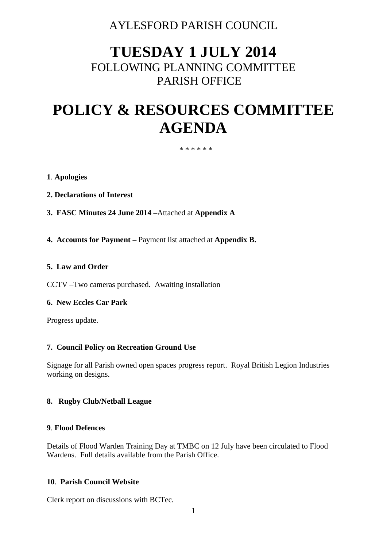# AYLESFORD PARISH COUNCIL

# **TUESDAY 1 JULY 2014** FOLLOWING PLANNING COMMITTEE PARISH OFFICE

# **POLICY & RESOURCES COMMITTEE AGENDA**

#### \* \* \* \* \* \*

#### **1**. **Apologies**

- **2. Declarations of Interest**
- **3. FASC Minutes 24 June 2014 –**Attached at **Appendix A**
- **4. Accounts for Payment –** Payment list attached at **Appendix B.**

#### **5. Law and Order**

CCTV –Two cameras purchased. Awaiting installation

#### **6. New Eccles Car Park**

Progress update.

#### **7. Council Policy on Recreation Ground Use**

Signage for all Parish owned open spaces progress report. Royal British Legion Industries working on designs.

#### **8. Rugby Club/Netball League**

#### **9**. **Flood Defences**

Details of Flood Warden Training Day at TMBC on 12 July have been circulated to Flood Wardens. Full details available from the Parish Office.

#### **10**. **Parish Council Website**

Clerk report on discussions with BCTec.